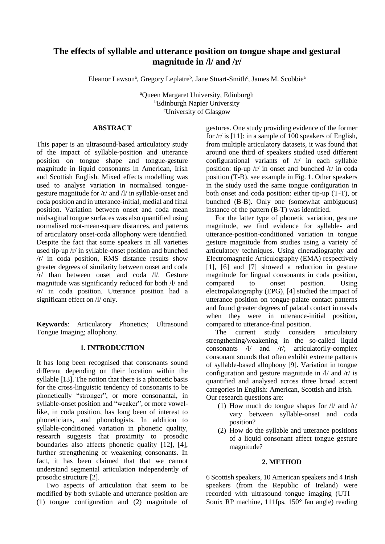# **The effects of syllable and utterance position on tongue shape and gestural magnitude in /l/ and /r/**

Eleanor Lawson<sup>a</sup>, Gregory Leplatre<sup>b</sup>, Jane Stuart-Smith<sup>c</sup>, James M. Scobbie<sup>a</sup>

<sup>a</sup>Queen Margaret University, Edinburgh **bEdinburgh Napier University** <sup>c</sup>University of Glasgow

# **ABSTRACT**

This paper is an ultrasound-based articulatory study of the impact of syllable-position and utterance position on tongue shape and tongue-gesture magnitude in liquid consonants in American, Irish and Scottish English. Mixed effects modelling was used to analyse variation in normalised tonguegesture magnitude for /r/ and /l/ in syllable-onset and coda position and in utterance-initial, medial and final position. Variation between onset and coda mean midsagittal tongue surfaces was also quantified using normalised root-mean-square distances, and patterns of articulatory onset-coda allophony were identified. Despite the fact that some speakers in all varieties used tip-up /r/ in syllable-onset position and bunched /r/ in coda position, RMS distance results show greater degrees of similarity between onset and coda /r/ than between onset and coda /l/. Gesture magnitude was significantly reduced for both /l/ and /r/ in coda position. Utterance position had a significant effect on /l/ only.

**Keywords**: Articulatory Phonetics; Ultrasound Tongue Imaging; allophony.

# **1. INTRODUCTION**

It has long been recognised that consonants sound different depending on their location within the syllable [13]. The notion that there is a phonetic basis for the cross-linguistic tendency of consonants to be phonetically "stronger", or more consonantal, in syllable-onset position and "weaker", or more vowellike, in coda position, has long been of interest to phoneticians, and phonologists. In addition to syllable-conditioned variation in phonetic quality, research suggests that proximity to prosodic boundaries also affects phonetic quality [12], [4], further strengthening or weakening consonants. In fact, it has been claimed that that we cannot understand segmental articulation independently of prosodic structure [2].

Two aspects of articulation that seem to be modified by both syllable and utterance position are (1) tongue configuration and (2) magnitude of

gestures. One study providing evidence of the former for  $/r/$  is [11]: in a sample of 100 speakers of English, from multiple articulatory datasets, it was found that around one third of speakers studied used different configurational variants of /r/ in each syllable position: tip-up /r/ in onset and bunched /r/ in coda position (T-B), see example in Fig. 1. Other speakers in the study used the same tongue configuration in both onset and coda position: either tip-up (T-T), or bunched (B-B). Only one (somewhat ambiguous) instance of the pattern (B-T) was identified.

For the latter type of phonetic variation, gesture magnitude, we find evidence for syllable- and utterance-position-conditioned variation in tongue gesture magnitude from studies using a variety of articulatory techniques. Using cineradiography and Electromagnetic Articulography (EMA) respectively [1], [6] and [7] showed a reduction in gesture magnitude for lingual consonants in coda position, compared to onset position. Using electropalatography (EPG), [4] studied the impact of utterance position on tongue-palate contact patterns and found greater degrees of palatal contact in nasals when they were in utterance-initial position, compared to utterance-final position.

The current study considers articulatory strengthening/weakening in the so-called liquid consonants /l/ and /r/; articulatorily-complex consonant sounds that often exhibit extreme patterns of syllable-based allophony [9]. Variation in tongue configuration and gesture magnitude in /l/ and /r/ is quantified and analysed across three broad accent categories in English: American, Scottish and Irish. Our research questions are:

- (1) How much do tongue shapes for /l/ and /r/ vary between syllable-onset and coda position?
- (2) How do the syllable and utterance positions of a liquid consonant affect tongue gesture magnitude?

# **2. METHOD**

6 Scottish speakers, 10 American speakers and 4 Irish speakers (from the Republic of Ireland) were recorded with ultrasound tongue imaging (UTI – Sonix RP machine, 111fps, 150° fan angle) reading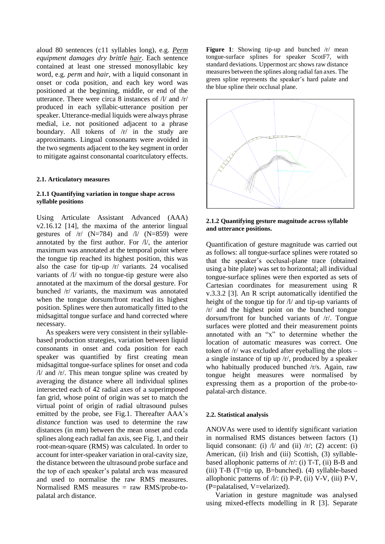aloud 80 sentences (c11 syllables long), e.g. *Perm equipment damages dry brittle hair*. Each sentence contained at least one stressed monosyllabic key word, e.g. *perm* and *hair*, with a liquid consonant in onset or coda position, and each key word was positioned at the beginning, middle, or end of the utterance. There were circa 8 instances of /l/ and /r/ produced in each syllabic-utterance position per speaker. Utterance-medial liquids were always phrase medial, i.e. not positioned adjacent to a phrase boundary. All tokens of  $/r/$  in the study are approximants. Lingual consonants were avoided in the two segments adjacent to the key segment in order to mitigate against consonantal coaritculatory effects.

#### **2.1. Articulatory measures**

#### **2.1.1 Quantifying variation in tongue shape across syllable positions**

Using Articulate Assistant Advanced (AAA) v2.16.12 [14], the maxima of the anterior lingual gestures of  $/r/(N=784)$  and  $/l/(N=859)$  were annotated by the first author. For /l/, the anterior maximum was annotated at the temporal point where the tongue tip reached its highest position, this was also the case for tip-up /r/ variants. 24 vocalised variants of /l/ with no tongue-tip gesture were also annotated at the maximum of the dorsal gesture. For bunched /r/ variants, the maximum was annotated when the tongue dorsum/front reached its highest position. Splines were then automatically fitted to the midsagittal tongue surface and hand corrected where necessary.

As speakers were very consistent in their syllablebased production strategies, variation between liquid consonants in onset and coda position for each speaker was quantified by first creating mean midsagittal tongue-surface splines for onset and coda /l/ and /r/. This mean tongue spline was created by averaging the distance where all individual splines intersected each of 42 radial axes of a superimposed fan grid, whose point of origin was set to match the virtual point of origin of radial ultrasound pulses emitted by the probe, see Fig.1. Thereafter AAA's *distance* function was used to determine the raw distances (in mm) between the mean onset and coda splines along each radial fan axis, see Fig. 1, and their root-mean-square (RMS) was calculated. In order to account for inter-speaker variation in oral-cavity size, the distance between the ultrasound probe surface and the top of each speaker's palatal arch was measured and used to normalise the raw RMS measures. Normalised RMS measures = raw RMS/probe-topalatal arch distance.

Figure 1: Showing tip-up and bunched  $/r$  mean tongue-surface splines for speaker ScotF7, with standard deviations. Uppermost arc shows raw distance measures between the splines along radial fan axes. The green spline represents the speaker's hard palate and the blue spline their occlusal plane.



**2.1.2 Quantifying gesture magnitude across syllable and utterance positions.**

Quantification of gesture magnitude was carried out as follows: all tongue-surface splines were rotated so that the speaker's occlusal-plane trace (obtained using a bite plate) was set to horizontal; all individual tongue-surface splines were then exported as sets of Cartesian coordinates for measurement using R v.3.3.2 [3]. An R script automatically identified the height of the tongue tip for /l/ and tip-up variants of /r/ and the highest point on the bunched tongue dorsum/front for bunched variants of /r/. Tongue surfaces were plotted and their measurement points annotated with an "x" to determine whether the location of automatic measures was correct. One token of /r/ was excluded after eyeballing the plots – a single instance of tip up /r/, produced by a speaker who habitually produced bunched /r/s. Again, raw tongue height measures were normalised by expressing them as a proportion of the probe-topalatal-arch distance.

#### **2.2. Statistical analysis**

ANOVAs were used to identify significant variation in normalised RMS distances between factors (1) liquid consonant: (i)  $\pi/$  and (ii)  $\pi/$ ; (2) accent: (i) American, (ii) Irish and (iii) Scottish, (3) syllablebased allophonic patterns of  $/r$ : (i) T-T, (ii) B-B and (iii) T-B (T=tip up, B=bunched).  $(4)$  syllable-based allophonic patterns of  $\Lambda/$ : (i) P-P, (ii) V-V, (iii) P-V, (P=palatalised, V=velarized).

Variation in gesture magnitude was analysed using mixed-effects modelling in R [3]. Separate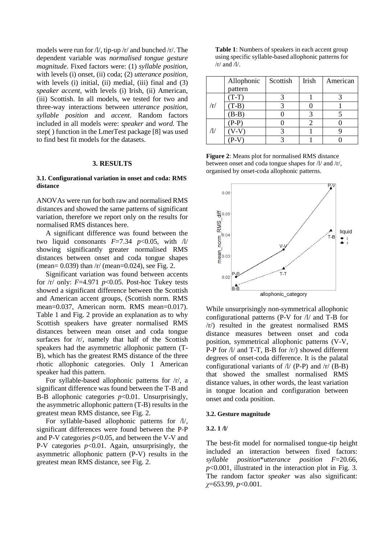models were run for /l/, tip-up /r/ and bunched /r/. The dependent variable was *normalised tongue gesture magnitude*. Fixed factors were: (1) *syllable position*, with levels (i) onset, (ii) coda; (2) *utterance position*, with levels (i) initial, (ii) medial, (iii) final and (3) *speaker accent*, with levels (i) Irish, (ii) American, (iii) Scottish. In all models, we tested for two and three-way interactions between *utterance position*, *syllable position* and *accent*. Random factors included in all models were: *speaker* and *word*. The step( ) function in the LmerTest package [8] was used to find best fit models for the datasets.

#### **3. RESULTS**

#### **3.1. Configurational variation in onset and coda: RMS distance**

ANOVAs were run for both raw and normalised RMS distances and showed the same patterns of significant variation, therefore we report only on the results for normalised RMS distances here.

A significant difference was found between the two liquid consonants  $F=7.34$   $p<0.05$ , with  $\frac{1}{4}$ showing significantly greater normalised RMS distances between onset and coda tongue shapes (mean= 0.039) than /r/ (mean=0.024), see Fig. 2.

Significant variation was found between accents for  $\pi$  only:  $F=4.971 \text{ p} < 0.05$ . Post-hoc Tukey tests showed a significant difference between the Scottish and American accent groups, (Scottish norm. RMS mean=0.037, American norm. RMS mean=0.017). Table 1 and Fig. 2 provide an explanation as to why Scottish speakers have greater normalised RMS distances between mean onset and coda tongue surfaces for /r/, namely that half of the Scottish speakers had the asymmetric allophonic pattern (T-B), which has the greatest RMS distance of the three rhotic allophonic categories. Only 1 American speaker had this pattern.

For syllable-based allophonic patterns for /r/, a significant difference was found between the T-B and B-B allophonic categories *p*<0.01. Unsurprisingly, the asymmetric allophonic pattern (T-B) results in the greatest mean RMS distance, see Fig. 2.

For syllable-based allophonic patterns for /l/, significant differences were found between the P-P and P-V categories  $p<0.05$ , and between the V-V and P-V categories *p*<0.01. Again, unsurprisingly, the asymmetric allophonic pattern (P-V) results in the greatest mean RMS distance, see Fig. 2.

**Table 1**: Numbers of speakers in each accent group using specific syllable-based allophonic patterns for  $/r/$  and  $/l/$ .

|             | Allophonic | Scottish | Irish | American |
|-------------|------------|----------|-------|----------|
|             | pattern    |          |       |          |
| $\sqrt{r/}$ | $(T-T)$    |          |       |          |
|             | $(T-B)$    |          |       |          |
|             | $(B-B)$    |          |       |          |
| Ί/          | $(P-P)$    |          |       |          |
|             |            |          |       |          |
|             |            |          |       |          |

**Figure 2**: Means plot for normalised RMS distance between onset and coda tongue shapes for /l/ and /r/, organised by onset-coda allophonic patterns.



While unsurprisingly non-symmetrical allophonic configurational patterns (P-V for /l/ and T-B for /r/) resulted in the greatest normalised RMS distance measures between onset and coda position, symmetrical allophonic patterns (V-V, P-P for  $\Lambda$  and T-T, B-B for  $\Lambda$  showed different degrees of onset-coda difference. It is the palatal configurational variants of  $\frac{1}{1}$  (P-P) and  $\frac{r}{(B-B)}$ that showed the smallest normalised RMS distance values, in other words, the least variation in tongue location and configuration between onset and coda position.

#### **3.2. Gesture magnitude**

#### **3.2. 1 /l/**

The best-fit model for normalised tongue-tip height included an interaction between fixed factors: *syllable position*\**utterance position F*=20.66, *p*<0.001, illustrated in the interaction plot in Fig. 3. The random factor *speaker* was also significant: *χ*=653.99, *p*<0.001.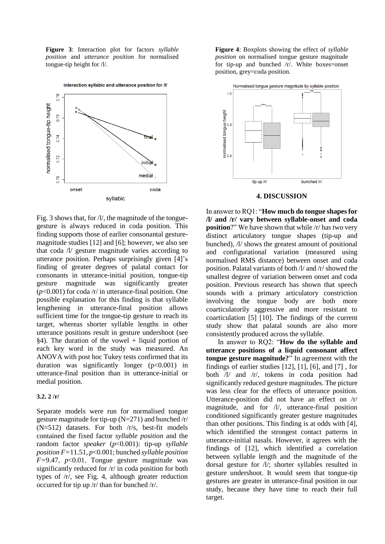**Figure 3**: Interaction plot for factors *syllable position* and *utterance position* for normalised tongue-tip height for /l/.



interaction syllabic and utterance position for /l/

Fig. 3 shows that, for  $\frac{1}{1}$ , the magnitude of the tonguegesture is always reduced in coda position. This finding supports those of earlier consonantal gesturemagnitude studies [12] and [6]; however, we also see that coda /l/ gesture magnitude varies according to utterance position. Perhaps surprisingly given [4]'s finding of greater degrees of palatal contact for consonants in utterance-initial position, tongue-tip gesture magnitude was significantly greater (*p*<0.001) for coda /r/ in utterance-final position. One possible explanation for this finding is that syllable lengthening in utterance-final position allows sufficient time for the tongue-tip gesture to reach its target, whereas shorter syllable lengths in other utterance positions result in gesture undershoot (see  $§4$ ). The duration of the vowel + liquid portion of each key word in the study was measured. An ANOVA with post hoc Tukey tests confirmed that its duration was significantly longer  $(p<0.001)$  in utterance-final position than in utterance-initial or medial position.

# **3.2. 2 /r/**

Separate models were run for normalised tongue gesture magnitude for tip-up  $(N=271)$  and bunched /r/ (N=512) datasets. For both /r/s, best-fit models contained the fixed factor *syllable position* and the random factor *speaker* (*p*<0.001): tip-up *syllable position F=*11.51, *p*<0.001; bunched *syllable position F=*9.47, *p*<0.01. Tongue gesture magnitude was significantly reduced for /r/ in coda position for both types of /r/, see Fig. 4, although greater reduction occurred for tip up /r/ than for bunched /r/.

**Figure 4**: Boxplots showing the effect of *syllable position* on normalised tongue gesture magnitude for tip-up and bunched /r/. White boxes=onset position, grey=coda position.



# **4. DISCUSSION**

In answer to RQ1: "**How much do tongue shapes for /l/ and /r/ vary between syllable-onset and coda position**?" We have shown that while  $\vert r \vert$  has two very distinct articulatory tongue shapes (tip-up and bunched), /l/ shows the greatest amount of positional and configurational variation (measured using normalised RMS distance) between onset and coda position. Palatal variants of both /l/ and /r/ showed the smallest degree of variation between onset and coda position. Previous research has shown that speech sounds with a primary articulatory constriction involving the tongue body are both more coarticulatorily aggressive and more resistant to coarticulation [5] [10]. The findings of the current study show that palatal sounds are also more consistently produced across the syllable.

In answer to RQ2: "**How do the syllable and utterance positions of a liquid consonant affect tongue gesture magnitude?**" In agreement with the findings of earlier studies [12], [1], [6], and [7] , for both /l/ and /r/, tokens in coda position had significantly reduced gesture magnitudes. The picture was less clear for the effects of utterance position. Utterance-position did not have an effect on /r/ magnitude, and for /l/, utterance-final position conditioned significantly greater gesture magnitudes than other positions. This finding is at odds with [4], which identified the strongest contact patterns in utterance-initial nasals. However, it agrees with the findings of [12], which identified a correlation between syllable length and the magnitude of the dorsal gesture for /l/; shorter syllables resulted in gesture undershoot. It would seem that tongue-tip gestures are greater in utterance-final position in our study, because they have time to reach their full target.